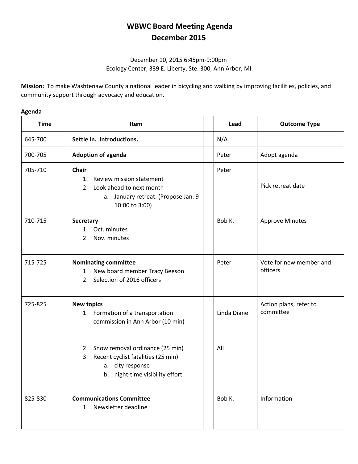## **WBWC Board Meeting Agenda December 2015**

## December 10, 2015 6:45pm-9:00pm Ecology Center, 339 E. Liberty, Ste. 300, Ann Arbor, MI

**Mission:** To make Washtenaw County a national leader in bicycling and walking by improving facilities, policies, and community support through advocacy and education.

## **Agenda**

| <b>Time</b> | <b>Item</b>                                                                                                                                                              | Lead               | <b>Outcome Type</b>                 |
|-------------|--------------------------------------------------------------------------------------------------------------------------------------------------------------------------|--------------------|-------------------------------------|
| 645-700     | Settle in. Introductions.                                                                                                                                                | N/A                |                                     |
| 700-705     | <b>Adoption of agenda</b>                                                                                                                                                | Peter              | Adopt agenda                        |
| 705-710     | <b>Chair</b><br>Review mission statement<br>1.<br>2. Look ahead to next month<br>a. January retreat. (Propose Jan. 9<br>10:00 to 3:00)                                   | Peter              | Pick retreat date                   |
| 710-715     | <b>Secretary</b><br>1. Oct. minutes<br>Nov. minutes<br>2.                                                                                                                | Bob K.             | <b>Approve Minutes</b>              |
| 715-725     | <b>Nominating committee</b><br>1. New board member Tracy Beeson<br>2. Selection of 2016 officers                                                                         | Peter              | Vote for new member and<br>officers |
| 725-825     | <b>New topics</b><br>1. Formation of a transportation<br>commission in Ann Arbor (10 min)<br>2. Snow removal ordinance (25 min)<br>3. Recent cyclist fatalities (25 min) | Linda Diane<br>All | Action plans, refer to<br>committee |
|             | a. city response<br>b. night-time visibility effort                                                                                                                      |                    |                                     |
| 825-830     | <b>Communications Committee</b><br>1. Newsletter deadline                                                                                                                | Bob K.             | Information                         |